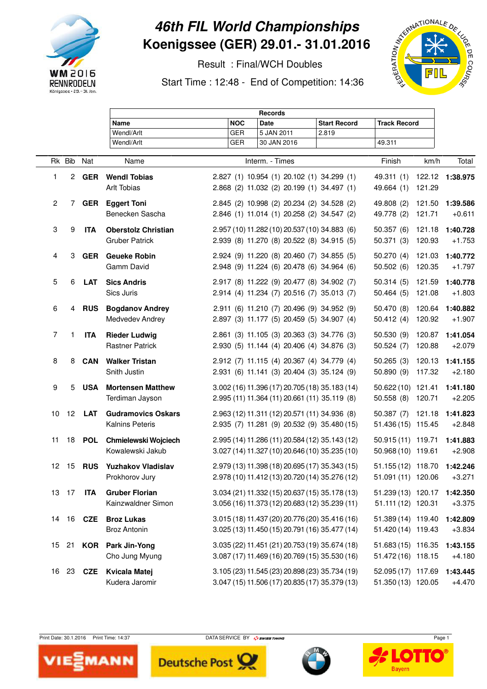

## **46th FIL World Championships Koenigssee (GER) 29.01.- 31.01.2016**

Result : Final/WCH Doubles

Start Time : 12:48 - End of Competition: 14:36



|                |                 |                  |                                                     |            | <b>Records</b>                                                                                   |                     |                                          |        |                      |
|----------------|-----------------|------------------|-----------------------------------------------------|------------|--------------------------------------------------------------------------------------------------|---------------------|------------------------------------------|--------|----------------------|
|                |                 |                  | Name                                                | <b>NOC</b> | <b>Date</b>                                                                                      | <b>Start Record</b> | <b>Track Record</b>                      |        |                      |
|                |                 |                  | Wendl/Arlt                                          | <b>GER</b> | 5 JAN 2011                                                                                       | 2.819               |                                          |        |                      |
|                |                 |                  | Wendl/Arlt                                          | <b>GER</b> | 30 JAN 2016                                                                                      |                     | 49.311                                   |        |                      |
|                | Rk Bib          | Nat              | Name                                                |            | Interm. - Times                                                                                  |                     | Finish                                   | km/h   | Total                |
| 1              |                 | 2 GER            | <b>Wendl Tobias</b>                                 |            | 2.827 (1) 10.954 (1) 20.102 (1) 34.299 (1)                                                       |                     | 49.311 (1) 122.12 1:38.975               |        |                      |
|                |                 |                  | Arlt Tobias                                         |            | 2.868 (2) 11.032 (2) 20.199 (1) 34.497 (1)                                                       |                     | 49.664 (1)                               | 121.29 |                      |
| $\overline{2}$ |                 |                  | 7 GER Eggert Toni                                   |            | 2.845 (2) 10.998 (2) 20.234 (2) 34.528 (2)                                                       |                     | 49.808 (2)                               | 121.50 | 1:39.586             |
|                |                 |                  | Benecken Sascha                                     |            | 2.846 (1) 11.014 (1) 20.258 (2) 34.547 (2)                                                       |                     | 49.778 (2)                               | 121.71 | $+0.611$             |
| 3              | 9               | <b>ITA</b>       | <b>Oberstolz Christian</b>                          |            | 2.957 (10) 11.282 (10) 20.537 (10) 34.883 (6)                                                    |                     | 50.357(6)                                | 121.18 | 1:40.728             |
|                |                 |                  | <b>Gruber Patrick</b>                               |            | 2.939 (8) 11.270 (8) 20.522 (8) 34.915 (5)                                                       |                     | 50.371 (3) 120.93                        |        | $+1.753$             |
| 4              | 3               | <b>GER</b>       | <b>Geueke Robin</b>                                 |            | 2.924 (9) 11.220 (8) 20.460 (7) 34.855 (5)                                                       |                     | 50.270 (4) 121.03                        |        | 1:40.772             |
|                |                 |                  | Gamm David                                          |            | 2.948 (9) 11.224 (6) 20.478 (6) 34.964 (6)                                                       |                     | 50.502(6)                                | 120.35 | $+1.797$             |
| 5              | 6               | <b>LAT</b>       | <b>Sics Andris</b>                                  |            | 2.917 (8) 11.222 (9) 20.477 (8) 34.902 (7)                                                       |                     | 50.314 (5) 121.59                        |        | 1:40.778             |
|                |                 |                  | Sics Juris                                          |            | 2.914 (4) 11.234 (7) 20.516 (7) 35.013 (7)                                                       |                     | 50.464(5)                                | 121.08 | $+1.803$             |
| 6              | 4               | <b>RUS</b>       | <b>Bogdanov Andrey</b>                              |            | 2.911 (6) 11.210 (7) 20.496 (9) 34.952 (9)                                                       |                     | 50.470 (8)                               | 120.64 | 1:40.882             |
|                |                 |                  | Medvedev Andrey                                     |            | 2.897 (3) 11.177 (5) 20.459 (5) 34.907 (4)                                                       |                     | 50.412(4)                                | 120.92 | $+1.907$             |
| 7              | 1               | <b>ITA</b>       | <b>Rieder Ludwig</b>                                |            | 2.861 (3) 11.105 (3) 20.363 (3) 34.776 (3)                                                       |                     | 50.530 (9) 120.87                        |        | 1:41.054             |
|                |                 |                  | <b>Rastner Patrick</b>                              |            | 2.930 (5) 11.144 (4) 20.406 (4) 34.876 (3)                                                       |                     | 50.524(7)                                | 120.88 | $+2.079$             |
| 8              | 8               | CAN              | <b>Walker Tristan</b><br>Snith Justin               |            | 2.912 (7) 11.115 (4) 20.367 (4) 34.779 (4)                                                       |                     | 50.265 (3) 120.13                        |        | 1:41.155             |
|                |                 |                  |                                                     |            | 2.931 (6) 11.141 (3) 20.404 (3) 35.124 (9)                                                       |                     | 50.890 (9)                               | 117.32 | $+2.180$             |
| 9              | 5               | <b>USA</b>       | <b>Mortensen Matthew</b><br>Terdiman Jayson         |            | 3.002 (16) 11.396 (17) 20.705 (18) 35.183 (14)<br>2.995 (11) 11.364 (11) 20.661 (11) 35.119 (8)  |                     | 50.622 (10) 121.41<br>50.558 (8) 120.71  |        | 1:41.180<br>$+2.205$ |
|                |                 |                  |                                                     |            |                                                                                                  |                     |                                          |        |                      |
| 10             | 12 <sup>2</sup> | <b>LAT</b>       | <b>Gudramovics Oskars</b><br><b>Kalnins Peteris</b> |            | 2.963 (12) 11.311 (12) 20.571 (11) 34.936 (8)<br>2.935 (7) 11.281 (9) 20.532 (9) 35.480 (15)     |                     | 50.387 (7) 121.18<br>51.436 (15) 115.45  |        | 1:41.823<br>$+2.848$ |
|                |                 |                  |                                                     |            |                                                                                                  |                     |                                          |        |                      |
| 11             | 18              | <b>POL</b>       | Chmielewski Wojciech<br>Kowalewski Jakub            |            | 2.995 (14) 11.286 (11) 20.584 (12) 35.143 (12)<br>3.027 (14) 11.327 (10) 20.646 (10) 35.235 (10) |                     | 50.915 (11) 119.71<br>50.968 (10) 119.61 |        | 1:41.883<br>$+2.908$ |
| 12             | 15              | <b>RUS</b>       | <b>Yuzhakov Vladislav</b>                           |            | 2.979 (13) 11.398 (18) 20.695 (17) 35.343 (15)                                                   |                     | 51.155 (12) 118.70                       |        | 1:42.246             |
|                |                 |                  | Prokhorov Jury                                      |            | 2.978 (10) 11.412 (13) 20.720 (14) 35.276 (12)                                                   |                     | 51.091 (11) 120.06 +3.271                |        |                      |
|                |                 | 13 17 <b>ITA</b> | <b>Gruber Florian</b>                               |            | 3.034 (21) 11.332 (15) 20.637 (15) 35.178 (13)                                                   |                     | 51.239 (13) 120.17 1:42.350              |        |                      |
|                |                 |                  | Kainzwaldner Simon                                  |            | 3.056 (16) 11.373 (12) 20.683 (12) 35.239 (11)                                                   |                     | 51.111 (12) 120.31                       |        | $+3.375$             |
| 14             |                 | 16 <b>CZE</b>    | <b>Broz Lukas</b>                                   |            | 3.015 (18) 11.437 (20) 20.776 (20) 35.416 (16)                                                   |                     | 51.389 (14) 119.40                       |        | 1:42.809             |
|                |                 |                  | <b>Broz Antonin</b>                                 |            | 3.025 (13) 11.450 (15) 20.791 (16) 35.477 (14)                                                   |                     | 51.420 (14) 119.43                       |        | $+3.834$             |
| 15             |                 |                  | 21 KOR Park Jin-Yong                                |            | 3.035 (22) 11.451 (21) 20.753 (19) 35.674 (18)                                                   |                     | 51.683 (15) 116.35                       |        | 1:43.155             |
|                |                 |                  | Cho Jung Myung                                      |            | 3.087 (17) 11.469 (16) 20.769 (15) 35.530 (16)                                                   |                     | 51.472 (16) 118.15                       |        | $+4.180$             |
|                |                 | 16 23 <b>CZE</b> | Kvicala Matej                                       |            | 3.105 (23) 11.545 (23) 20.898 (23) 35.734 (19)                                                   |                     | 52.095 (17) 117.69                       |        | 1:43.445             |
|                |                 |                  | Kudera Jaromir                                      |            | 3.047 (15) 11.506 (17) 20.835 (17) 35.379 (13)                                                   |                     | 51.350 (13) 120.05                       |        | $+4.470$             |